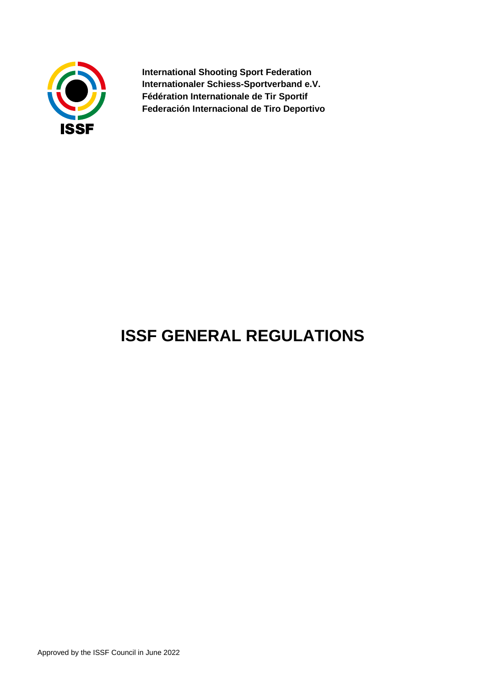

**International Shooting Sport Federation Internationaler Schiess-Sportverband e.V. Fédération Internationale de Tir Sportif Federación Internacional de Tiro Deportivo**

# **ISSF GENERAL REGULATIONS**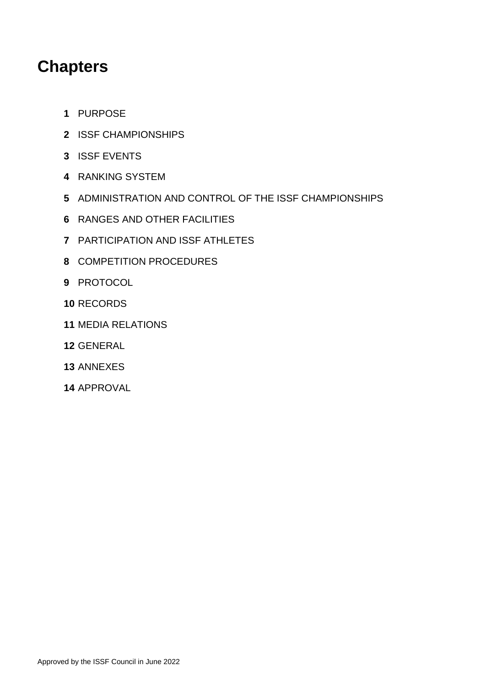## **Chapters**

- PURPOSE
- ISSF CHAMPIONSHIPS
- ISSF EVENTS
- RANKING SYSTEM
- ADMINISTRATION AND CONTROL OF THE ISSF CHAMPIONSHIPS
- RANGES AND OTHER FACILITIES
- PARTICIPATION AND ISSF ATHLETES
- COMPETITION PROCEDURES
- PROTOCOL
- RECORDS
- MEDIA RELATIONS
- GENERAL
- ANNEXES
- APPROVAL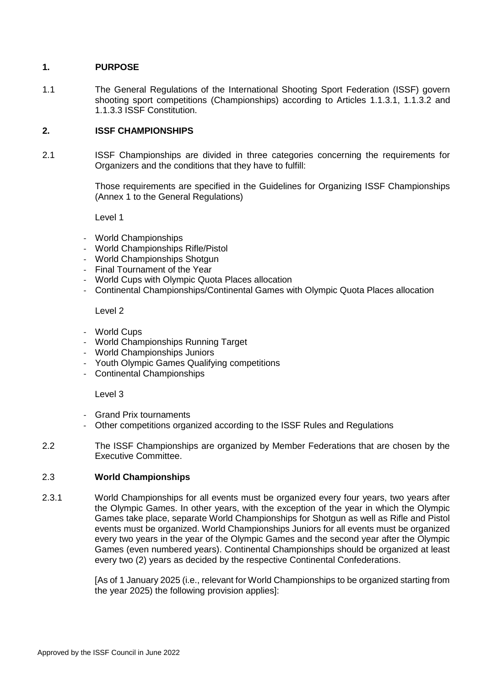## **1. PURPOSE**

1.1 The General Regulations of the International Shooting Sport Federation (ISSF) govern shooting sport competitions (Championships) according to Articles 1.1.3.1, 1.1.3.2 and 1.1.3.3 ISSF Constitution.

## **2. ISSF CHAMPIONSHIPS**

2.1 ISSF Championships are divided in three categories concerning the requirements for Organizers and the conditions that they have to fulfill:

> Those requirements are specified in the Guidelines for Organizing ISSF Championships (Annex 1 to the General Regulations)

Level 1

- World Championships
- World Championships Rifle/Pistol
- World Championships Shotgun
- Final Tournament of the Year
- World Cups with Olympic Quota Places allocation
- Continental Championships/Continental Games with Olympic Quota Places allocation

#### Level 2

- World Cups
- World Championships Running Target
- World Championships Juniors
- Youth Olympic Games Qualifying competitions
- Continental Championships

Level 3

- Grand Prix tournaments
- Other competitions organized according to the ISSF Rules and Regulations
- 2.2 The ISSF Championships are organized by Member Federations that are chosen by the Executive Committee.

### 2.3 **World Championships**

2.3.1 World Championships for all events must be organized every four years, two years after the Olympic Games. In other years, with the exception of the year in which the Olympic Games take place, separate World Championships for Shotgun as well as Rifle and Pistol events must be organized. World Championships Juniors for all events must be organized every two years in the year of the Olympic Games and the second year after the Olympic Games (even numbered years). Continental Championships should be organized at least every two (2) years as decided by the respective Continental Confederations.

> [As of 1 January 2025 (i.e., relevant for World Championships to be organized starting from the year 2025) the following provision applies]: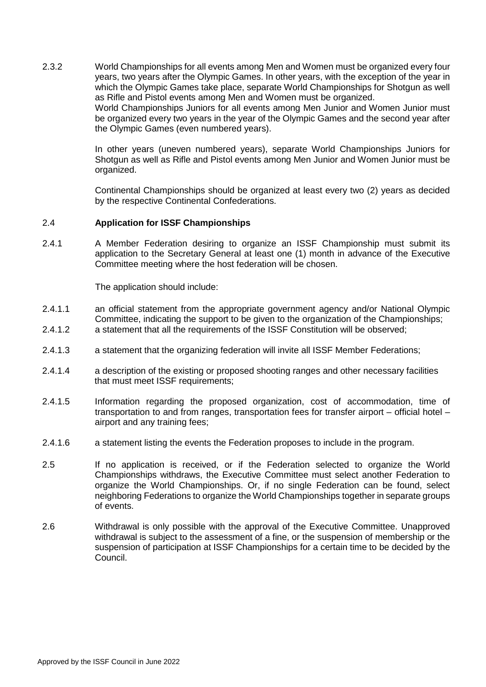2.3.2 World Championships for all events among Men and Women must be organized every four years, two years after the Olympic Games. In other years, with the exception of the year in which the Olympic Games take place, separate World Championships for Shotgun as well as Rifle and Pistol events among Men and Women must be organized. World Championships Juniors for all events among Men Junior and Women Junior must be organized every two years in the year of the Olympic Games and the second year after the Olympic Games (even numbered years).

> In other years (uneven numbered years), separate World Championships Juniors for Shotgun as well as Rifle and Pistol events among Men Junior and Women Junior must be organized.

> Continental Championships should be organized at least every two (2) years as decided by the respective Continental Confederations.

#### 2.4 **Application for ISSF Championships**

2.4.1 A Member Federation desiring to organize an ISSF Championship must submit its application to the Secretary General at least one (1) month in advance of the Executive Committee meeting where the host federation will be chosen.

The application should include:

- 2.4.1.1 an official statement from the appropriate government agency and/or National Olympic Committee, indicating the support to be given to the organization of the Championships;
- 2.4.1.2 a statement that all the requirements of the ISSF Constitution will be observed;
- 2.4.1.3 a statement that the organizing federation will invite all ISSF Member Federations;
- 2.4.1.4 a description of the existing or proposed shooting ranges and other necessary facilities that must meet ISSF requirements;
- 2.4.1.5 Information regarding the proposed organization, cost of accommodation, time of transportation to and from ranges, transportation fees for transfer airport – official hotel – airport and any training fees;
- 2.4.1.6 a statement listing the events the Federation proposes to include in the program.
- 2.5 If no application is received, or if the Federation selected to organize the World Championships withdraws, the Executive Committee must select another Federation to organize the World Championships. Or, if no single Federation can be found, select neighboring Federations to organize the World Championships together in separate groups of events.
- 2.6 Withdrawal is only possible with the approval of the Executive Committee. Unapproved withdrawal is subject to the assessment of a fine, or the suspension of membership or the suspension of participation at ISSF Championships for a certain time to be decided by the Council.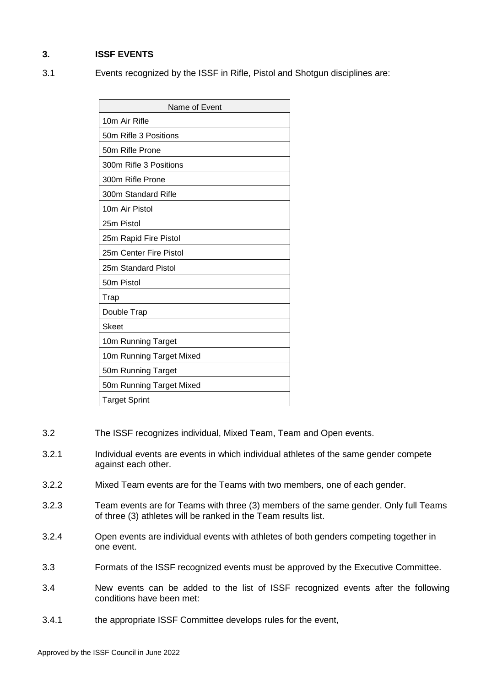## **3. ISSF EVENTS**

3.1 Events recognized by the ISSF in Rifle, Pistol and Shotgun disciplines are:

| Name of Event            |  |  |  |  |  |
|--------------------------|--|--|--|--|--|
| 10m Air Rifle            |  |  |  |  |  |
| 50m Rifle 3 Positions    |  |  |  |  |  |
| 50m Rifle Prone          |  |  |  |  |  |
| 300m Rifle 3 Positions   |  |  |  |  |  |
| 300m Rifle Prone         |  |  |  |  |  |
| 300m Standard Rifle      |  |  |  |  |  |
| 10m Air Pistol           |  |  |  |  |  |
| 25m Pistol               |  |  |  |  |  |
| 25m Rapid Fire Pistol    |  |  |  |  |  |
| 25m Center Fire Pistol   |  |  |  |  |  |
| 25m Standard Pistol      |  |  |  |  |  |
| 50m Pistol               |  |  |  |  |  |
| Trap                     |  |  |  |  |  |
| Double Trap              |  |  |  |  |  |
| Skeet                    |  |  |  |  |  |
| 10m Running Target       |  |  |  |  |  |
| 10m Running Target Mixed |  |  |  |  |  |
| 50m Running Target       |  |  |  |  |  |
| 50m Running Target Mixed |  |  |  |  |  |
| <b>Target Sprint</b>     |  |  |  |  |  |

- 3.2 The ISSF recognizes individual, Mixed Team, Team and Open events.
- 3.2.1 Individual events are events in which individual athletes of the same gender compete against each other.
- 3.2.2 Mixed Team events are for the Teams with two members, one of each gender.
- 3.2.3 Team events are for Teams with three (3) members of the same gender. Only full Teams of three (3) athletes will be ranked in the Team results list.
- 3.2.4 Open events are individual events with athletes of both genders competing together in one event.
- 3.3 Formats of the ISSF recognized events must be approved by the Executive Committee.
- 3.4 New events can be added to the list of ISSF recognized events after the following conditions have been met:
- 3.4.1 the appropriate ISSF Committee develops rules for the event,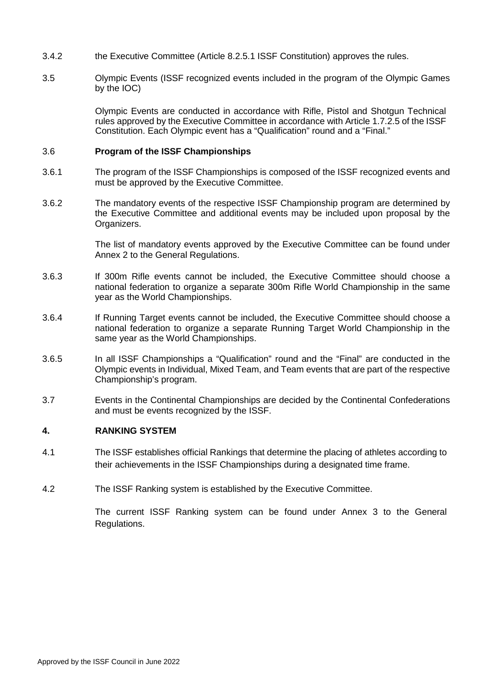- 3.4.2 the Executive Committee (Article 8.2.5.1 ISSF Constitution) approves the rules.
- 3.5 Olympic Events (ISSF recognized events included in the program of the Olympic Games by the IOC)

Olympic Events are conducted in accordance with Rifle, Pistol and Shotgun Technical rules approved by the Executive Committee in accordance with Article 1.7.2.5 of the ISSF Constitution. Each Olympic event has a "Qualification" round and a "Final."

#### 3.6 **Program of the ISSF Championships**

- 3.6.1 The program of the ISSF Championships is composed of the ISSF recognized events and must be approved by the Executive Committee.
- 3.6.2 The mandatory events of the respective ISSF Championship program are determined by the Executive Committee and additional events may be included upon proposal by the Organizers.

The list of mandatory events approved by the Executive Committee can be found under Annex 2 to the General Regulations.

- 3.6.3 If 300m Rifle events cannot be included, the Executive Committee should choose a national federation to organize a separate 300m Rifle World Championship in the same year as the World Championships.
- 3.6.4 If Running Target events cannot be included, the Executive Committee should choose a national federation to organize a separate Running Target World Championship in the same year as the World Championships.
- 3.6.5 In all ISSF Championships a "Qualification" round and the "Final" are conducted in the Olympic events in Individual, Mixed Team, and Team events that are part of the respective Championship's program.
- 3.7 Events in the Continental Championships are decided by the Continental Confederations and must be events recognized by the ISSF.

### **4. RANKING SYSTEM**

- 4.1 The ISSF establishes official Rankings that determine the placing of athletes according to their achievements in the ISSF Championships during a designated time frame.
- 4.2 The ISSF Ranking system is established by the Executive Committee.

The current ISSF Ranking system can be found under Annex 3 to the General Regulations.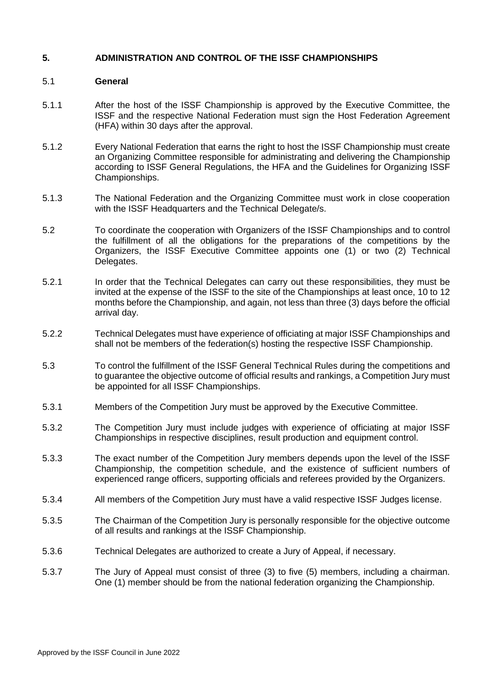#### **5. ADMINISTRATION AND CONTROL OF THE ISSF CHAMPIONSHIPS**

#### 5.1 **General**

- 5.1.1 After the host of the ISSF Championship is approved by the Executive Committee, the ISSF and the respective National Federation must sign the Host Federation Agreement (HFA) within 30 days after the approval.
- 5.1.2 Every National Federation that earns the right to host the ISSF Championship must create an Organizing Committee responsible for administrating and delivering the Championship according to ISSF General Regulations, the HFA and the Guidelines for Organizing ISSF Championships.
- 5.1.3 The National Federation and the Organizing Committee must work in close cooperation with the ISSF Headquarters and the Technical Delegate/s.
- 5.2 To coordinate the cooperation with Organizers of the ISSF Championships and to control the fulfillment of all the obligations for the preparations of the competitions by the Organizers, the ISSF Executive Committee appoints one (1) or two (2) Technical Delegates.
- 5.2.1 In order that the Technical Delegates can carry out these responsibilities, they must be invited at the expense of the ISSF to the site of the Championships at least once, 10 to 12 months before the Championship, and again, not less than three (3) days before the official arrival day.
- 5.2.2 Technical Delegates must have experience of officiating at major ISSF Championships and shall not be members of the federation(s) hosting the respective ISSF Championship.
- 5.3 To control the fulfillment of the ISSF General Technical Rules during the competitions and to guarantee the objective outcome of official results and rankings, a Competition Jury must be appointed for all ISSF Championships.
- 5.3.1 Members of the Competition Jury must be approved by the Executive Committee.
- 5.3.2 The Competition Jury must include judges with experience of officiating at major ISSF Championships in respective disciplines, result production and equipment control.
- 5.3.3 The exact number of the Competition Jury members depends upon the level of the ISSF Championship, the competition schedule, and the existence of sufficient numbers of experienced range officers, supporting officials and referees provided by the Organizers.
- 5.3.4 All members of the Competition Jury must have a valid respective ISSF Judges license.
- 5.3.5 The Chairman of the Competition Jury is personally responsible for the objective outcome of all results and rankings at the ISSF Championship.
- 5.3.6 Technical Delegates are authorized to create a Jury of Appeal, if necessary.
- 5.3.7 The Jury of Appeal must consist of three (3) to five (5) members, including a chairman. One (1) member should be from the national federation organizing the Championship.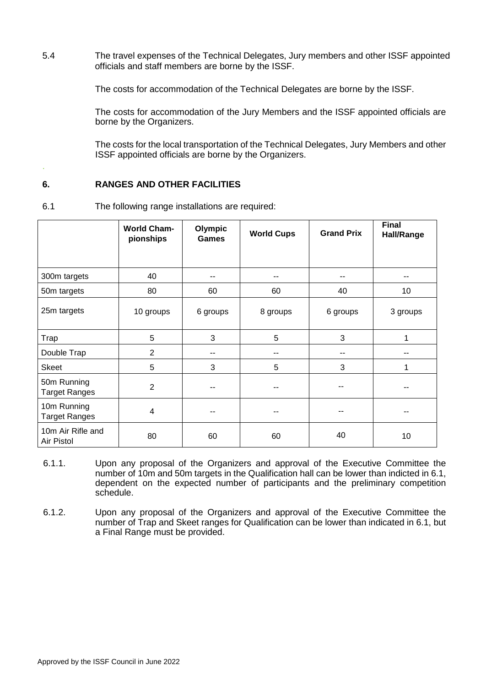5.4 The travel expenses of the Technical Delegates, Jury members and other ISSF appointed officials and staff members are borne by the ISSF.

The costs for accommodation of the Technical Delegates are borne by the ISSF.

The costs for accommodation of the Jury Members and the ISSF appointed officials are borne by the Organizers.

The costs for the local transportation of the Technical Delegates, Jury Members and other ISSF appointed officials are borne by the Organizers.

## **6. RANGES AND OTHER FACILITIES**

.

6.1 The following range installations are required:

|                                     | <b>World Cham-</b><br>pionships | Olympic<br><b>Games</b> | <b>World Cups</b> | <b>Grand Prix</b> | <b>Final</b><br>Hall/Range |
|-------------------------------------|---------------------------------|-------------------------|-------------------|-------------------|----------------------------|
|                                     |                                 |                         |                   |                   |                            |
| 300m targets                        | 40                              | --                      | --                | --                |                            |
| 50m targets                         | 80                              | 60                      | 60                | 40                | 10                         |
| 25m targets                         | 10 groups                       | 6 groups                | 8 groups          | 6 groups          | 3 groups                   |
| Trap                                | 5                               | 3                       | 5                 | 3                 | 1                          |
| Double Trap                         | $\overline{2}$                  |                         | --                | --                |                            |
| <b>Skeet</b>                        | 5                               | 3                       | 5                 | 3                 |                            |
| 50m Running<br><b>Target Ranges</b> | $\overline{2}$                  |                         |                   |                   |                            |
| 10m Running<br><b>Target Ranges</b> | $\overline{4}$                  |                         | --                |                   |                            |
| 10m Air Rifle and<br>Air Pistol     | 80                              | 60                      | 60                | 40                | 10                         |

6.1.1. Upon any proposal of the Organizers and approval of the Executive Committee the number of 10m and 50m targets in the Qualification hall can be lower than indicted in 6.1, dependent on the expected number of participants and the preliminary competition schedule.

6.1.2. Upon any proposal of the Organizers and approval of the Executive Committee the number of Trap and Skeet ranges for Qualification can be lower than indicated in 6.1, but a Final Range must be provided.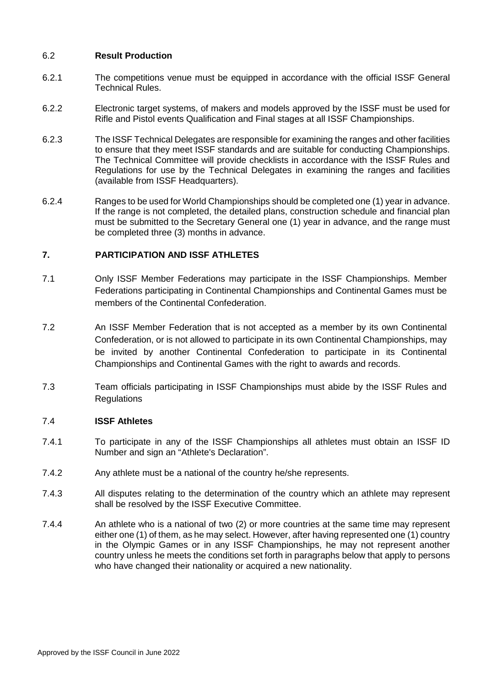## 6.2 **Result Production**

- 6.2.1 The competitions venue must be equipped in accordance with the official ISSF General Technical Rules.
- 6.2.2 Electronic target systems, of makers and models approved by the ISSF must be used for Rifle and Pistol events Qualification and Final stages at all ISSF Championships.
- 6.2.3 The ISSF Technical Delegates are responsible for examining the ranges and other facilities to ensure that they meet ISSF standards and are suitable for conducting Championships. The Technical Committee will provide checklists in accordance with the ISSF Rules and Regulations for use by the Technical Delegates in examining the ranges and facilities (available from ISSF Headquarters).
- 6.2.4 Ranges to be used for World Championships should be completed one (1) year in advance. If the range is not completed, the detailed plans, construction schedule and financial plan must be submitted to the Secretary General one (1) year in advance, and the range must be completed three (3) months in advance.

## **7. PARTICIPATION AND ISSF ATHLETES**

- 7.1 Only ISSF Member Federations may participate in the ISSF Championships. Member Federations participating in Continental Championships and Continental Games must be members of the Continental Confederation.
- 7.2 An ISSF Member Federation that is not accepted as a member by its own Continental Confederation, or is not allowed to participate in its own Continental Championships, may be invited by another Continental Confederation to participate in its Continental Championships and Continental Games with the right to awards and records.
- 7.3 Team officials participating in ISSF Championships must abide by the ISSF Rules and **Regulations**

### 7.4 **ISSF Athletes**

- 7.4.1 To participate in any of the ISSF Championships all athletes must obtain an ISSF ID Number and sign an "Athlete's Declaration".
- 7.4.2 Any athlete must be a national of the country he/she represents.
- 7.4.3 All disputes relating to the determination of the country which an athlete may represent shall be resolved by the ISSF Executive Committee.
- 7.4.4 An athlete who is a national of two (2) or more countries at the same time may represent either one (1) of them, as he may select. However, after having represented one (1) country in the Olympic Games or in any ISSF Championships, he may not represent another country unless he meets the conditions set forth in paragraphs below that apply to persons who have changed their nationality or acquired a new nationality.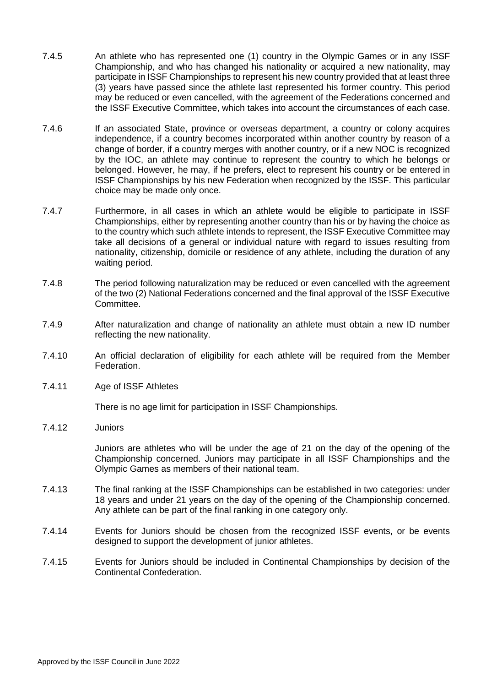- 7.4.5 An athlete who has represented one (1) country in the Olympic Games or in any ISSF Championship, and who has changed his nationality or acquired a new nationality, may participate in ISSF Championships to represent his new country provided that at least three (3) years have passed since the athlete last represented his former country. This period may be reduced or even cancelled, with the agreement of the Federations concerned and the ISSF Executive Committee, which takes into account the circumstances of each case.
- 7.4.6 If an associated State, province or overseas department, a country or colony acquires independence, if a country becomes incorporated within another country by reason of a change of border, if a country merges with another country, or if a new NOC is recognized by the IOC, an athlete may continue to represent the country to which he belongs or belonged. However, he may, if he prefers, elect to represent his country or be entered in ISSF Championships by his new Federation when recognized by the ISSF. This particular choice may be made only once.
- 7.4.7 Furthermore, in all cases in which an athlete would be eligible to participate in ISSF Championships, either by representing another country than his or by having the choice as to the country which such athlete intends to represent, the ISSF Executive Committee may take all decisions of a general or individual nature with regard to issues resulting from nationality, citizenship, domicile or residence of any athlete, including the duration of any waiting period.
- 7.4.8 The period following naturalization may be reduced or even cancelled with the agreement of the two (2) National Federations concerned and the final approval of the ISSF Executive Committee.
- 7.4.9 After naturalization and change of nationality an athlete must obtain a new ID number reflecting the new nationality.
- 7.4.10 An official declaration of eligibility for each athlete will be required from the Member Federation.
- 7.4.11 Age of ISSF Athletes

There is no age limit for participation in ISSF Championships.

7.4.12 Juniors

Juniors are athletes who will be under the age of 21 on the day of the opening of the Championship concerned. Juniors may participate in all ISSF Championships and the Olympic Games as members of their national team.

- 7.4.13 The final ranking at the ISSF Championships can be established in two categories: under 18 years and under 21 years on the day of the opening of the Championship concerned. Any athlete can be part of the final ranking in one category only.
- 7.4.14 Events for Juniors should be chosen from the recognized ISSF events, or be events designed to support the development of junior athletes.
- 7.4.15 Events for Juniors should be included in Continental Championships by decision of the Continental Confederation.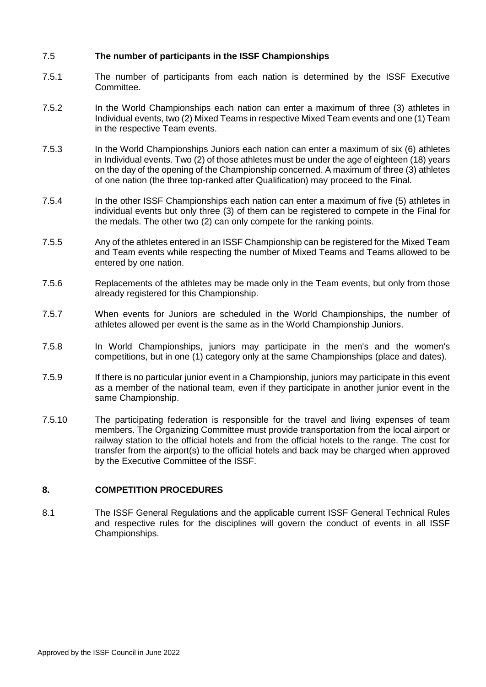## 7.5 **The number of participants in the ISSF Championships**

- 7.5.1 The number of participants from each nation is determined by the ISSF Executive Committee.
- 7.5.2 In the World Championships each nation can enter a maximum of three (3) athletes in Individual events, two (2) Mixed Teams in respective Mixed Team events and one (1) Team in the respective Team events.
- 7.5.3 In the World Championships Juniors each nation can enter a maximum of six (6) athletes in Individual events. Two (2) of those athletes must be under the age of eighteen (18) years on the day of the opening of the Championship concerned. A maximum of three (3) athletes of one nation (the three top-ranked after Qualification) may proceed to the Final.
- 7.5.4 In the other ISSF Championships each nation can enter a maximum of five (5) athletes in individual events but only three (3) of them can be registered to compete in the Final for the medals. The other two (2) can only compete for the ranking points.
- 7.5.5 Any of the athletes entered in an ISSF Championship can be registered for the Mixed Team and Team events while respecting the number of Mixed Teams and Teams allowed to be entered by one nation.
- 7.5.6 Replacements of the athletes may be made only in the Team events, but only from those already registered for this Championship.
- 7.5.7 When events for Juniors are scheduled in the World Championships, the number of athletes allowed per event is the same as in the World Championship Juniors.
- 7.5.8 In World Championships, juniors may participate in the men's and the women's competitions, but in one (1) category only at the same Championships (place and dates).
- 7.5.9 If there is no particular junior event in a Championship, juniors may participate in this event as a member of the national team, even if they participate in another junior event in the same Championship.
- 7.5.10 The participating federation is responsible for the travel and living expenses of team members. The Organizing Committee must provide transportation from the local airport or railway station to the official hotels and from the official hotels to the range. The cost for transfer from the airport(s) to the official hotels and back may be charged when approved by the Executive Committee of the ISSF.

### **8. COMPETITION PROCEDURES**

8.1 The ISSF General Regulations and the applicable current ISSF General Technical Rules and respective rules for the disciplines will govern the conduct of events in all ISSF Championships.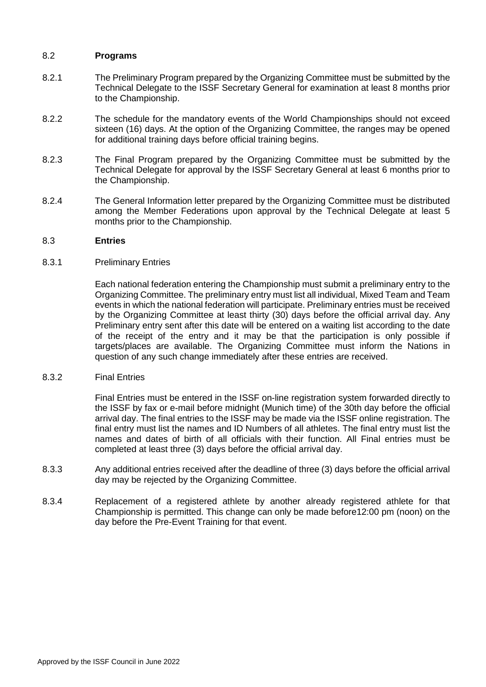#### 8.2 **Programs**

- 8.2.1 The Preliminary Program prepared by the Organizing Committee must be submitted by the Technical Delegate to the ISSF Secretary General for examination at least 8 months prior to the Championship.
- 8.2.2 The schedule for the mandatory events of the World Championships should not exceed sixteen (16) days. At the option of the Organizing Committee, the ranges may be opened for additional training days before official training begins.
- 8.2.3 The Final Program prepared by the Organizing Committee must be submitted by the Technical Delegate for approval by the ISSF Secretary General at least 6 months prior to the Championship.
- 8.2.4 The General Information letter prepared by the Organizing Committee must be distributed among the Member Federations upon approval by the Technical Delegate at least 5 months prior to the Championship.

#### 8.3 **Entries**

#### 8.3.1 Preliminary Entries

Each national federation entering the Championship must submit a preliminary entry to the Organizing Committee. The preliminary entry must list all individual, Mixed Team and Team events in which the national federation will participate. Preliminary entries must be received by the Organizing Committee at least thirty (30) days before the official arrival day. Any Preliminary entry sent after this date will be entered on a waiting list according to the date of the receipt of the entry and it may be that the participation is only possible if targets/places are available. The Organizing Committee must inform the Nations in question of any such change immediately after these entries are received.

#### 8.3.2 Final Entries

Final Entries must be entered in the ISSF on-line registration system forwarded directly to the ISSF by fax or e-mail before midnight (Munich time) of the 30th day before the official arrival day. The final entries to the ISSF may be made via the ISSF online registration. The final entry must list the names and ID Numbers of all athletes. The final entry must list the names and dates of birth of all officials with their function. All Final entries must be completed at least three (3) days before the official arrival day.

- 8.3.3 Any additional entries received after the deadline of three (3) days before the official arrival day may be rejected by the Organizing Committee.
- 8.3.4 Replacement of a registered athlete by another already registered athlete for that Championship is permitted. This change can only be made before12:00 pm (noon) on the day before the Pre-Event Training for that event.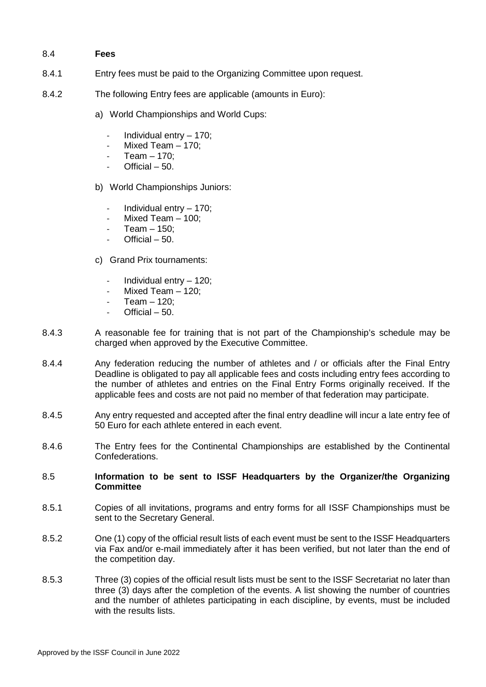### 8.4 **Fees**

- 8.4.1 Entry fees must be paid to the Organizing Committee upon request.
- 8.4.2 The following Entry fees are applicable (amounts in Euro):
	- a) World Championships and World Cups:
		- Individual entry 170;
		- Mixed Team  $-$  170;
		- Team  $-$  170;
		- Official  $50$ .
	- b) World Championships Juniors:
		- Individual entry 170;
		- Mixed Team  $-$  100;
		- Team  $-$  150:
		- $Official 50.$
	- c) Grand Prix tournaments:
		- Individual entry 120;
		- Mixed Team  $-$  120:
		- Team  $-$  120:
		- $Official 50.$
- 8.4.3 A reasonable fee for training that is not part of the Championship's schedule may be charged when approved by the Executive Committee.
- 8.4.4 Any federation reducing the number of athletes and / or officials after the Final Entry Deadline is obligated to pay all applicable fees and costs including entry fees according to the number of athletes and entries on the Final Entry Forms originally received. If the applicable fees and costs are not paid no member of that federation may participate.
- 8.4.5 Any entry requested and accepted after the final entry deadline will incur a late entry fee of 50 Euro for each athlete entered in each event.
- 8.4.6 The Entry fees for the Continental Championships are established by the Continental Confederations.

#### 8.5 **Information to be sent to ISSF Headquarters by the Organizer/the Organizing Committee**

- 8.5.1 Copies of all invitations, programs and entry forms for all ISSF Championships must be sent to the Secretary General.
- 8.5.2 One (1) copy of the official result lists of each event must be sent to the ISSF Headquarters via Fax and/or e-mail immediately after it has been verified, but not later than the end of the competition day.
- 8.5.3 Three (3) copies of the official result lists must be sent to the ISSF Secretariat no later than three (3) days after the completion of the events. A list showing the number of countries and the number of athletes participating in each discipline, by events, must be included with the results lists.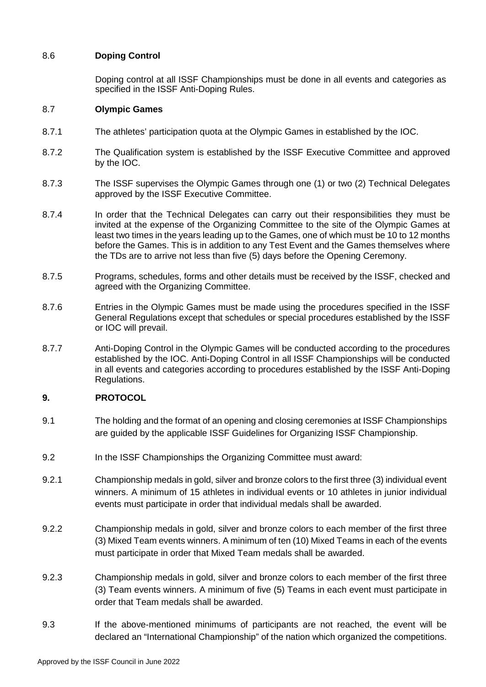## 8.6 **Doping Control**

Doping control at all ISSF Championships must be done in all events and categories as specified in the ISSF Anti-Doping Rules.

#### 8.7 **Olympic Games**

- 8.7.1 The athletes' participation quota at the Olympic Games in established by the IOC.
- 8.7.2 The Qualification system is established by the ISSF Executive Committee and approved by the IOC.
- 8.7.3 The ISSF supervises the Olympic Games through one (1) or two (2) Technical Delegates approved by the ISSF Executive Committee.
- 8.7.4 In order that the Technical Delegates can carry out their responsibilities they must be invited at the expense of the Organizing Committee to the site of the Olympic Games at least two times in the years leading up to the Games, one of which must be 10 to 12 months before the Games. This is in addition to any Test Event and the Games themselves where the TDs are to arrive not less than five (5) days before the Opening Ceremony.
- 8.7.5 Programs, schedules, forms and other details must be received by the ISSF, checked and agreed with the Organizing Committee.
- 8.7.6 Entries in the Olympic Games must be made using the procedures specified in the ISSF General Regulations except that schedules or special procedures established by the ISSF or IOC will prevail.
- 8.7.7 Anti-Doping Control in the Olympic Games will be conducted according to the procedures established by the IOC. Anti-Doping Control in all ISSF Championships will be conducted in all events and categories according to procedures established by the ISSF Anti-Doping Regulations.

### **9. PROTOCOL**

- 9.1 The holding and the format of an opening and closing ceremonies at ISSF Championships are guided by the applicable ISSF Guidelines for Organizing ISSF Championship.
- 9.2 In the ISSF Championships the Organizing Committee must award:
- 9.2.1 Championship medals in gold, silver and bronze colors to the first three (3) individual event winners. A minimum of 15 athletes in individual events or 10 athletes in junior individual events must participate in order that individual medals shall be awarded.
- 9.2.2 Championship medals in gold, silver and bronze colors to each member of the first three (3) Mixed Team events winners. A minimum of ten (10) Mixed Teams in each of the events must participate in order that Mixed Team medals shall be awarded.
- 9.2.3 Championship medals in gold, silver and bronze colors to each member of the first three (3) Team events winners. A minimum of five (5) Teams in each event must participate in order that Team medals shall be awarded.
- 9.3 If the above-mentioned minimums of participants are not reached, the event will be declared an "International Championship" of the nation which organized the competitions.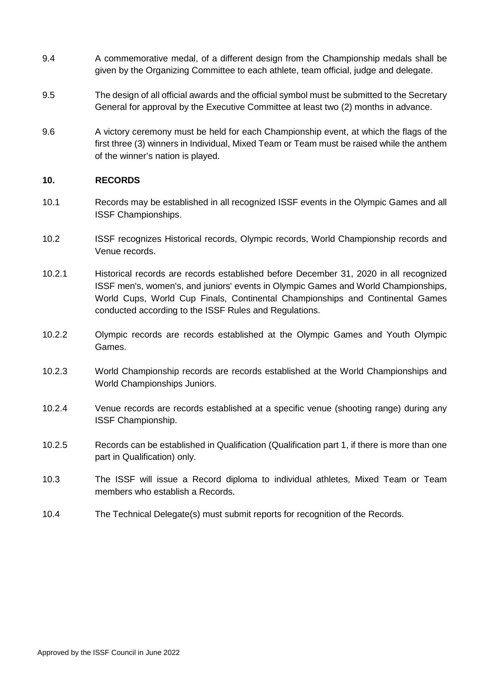- 9.4 A commemorative medal, of a different design from the Championship medals shall be given by the Organizing Committee to each athlete, team official, judge and delegate.
- 9.5 The design of all official awards and the official symbol must be submitted to the Secretary General for approval by the Executive Committee at least two (2) months in advance.
- 9.6 A victory ceremony must be held for each Championship event, at which the flags of the first three (3) winners in Individual, Mixed Team or Team must be raised while the anthem of the winner's nation is played.

### **10. RECORDS**

- 10.1 Records may be established in all recognized ISSF events in the Olympic Games and all ISSF Championships.
- 10.2 ISSF recognizes Historical records, Olympic records, World Championship records and Venue records.
- 10.2.1 Historical records are records established before December 31, 2020 in all recognized ISSF men's, women's, and juniors' events in Olympic Games and World Championships, World Cups, World Cup Finals, Continental Championships and Continental Games conducted according to the ISSF Rules and Regulations.
- 10.2.2 Olympic records are records established at the Olympic Games and Youth Olympic Games.
- 10.2.3 World Championship records are records established at the World Championships and World Championships Juniors.
- 10.2.4 Venue records are records established at a specific venue (shooting range) during any ISSF Championship.
- 10.2.5 Records can be established in Qualification (Qualification part 1, if there is more than one part in Qualification) only.
- 10.3 The ISSF will issue a Record diploma to individual athletes, Mixed Team or Team members who establish a Records.
- 10.4 The Technical Delegate(s) must submit reports for recognition of the Records.